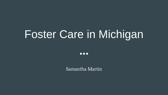# Foster Care in Michigan

 $\bullet\bullet\bullet$ 

Samantha Martin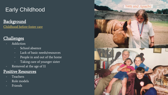## Early Childhood

## **Background**

[Childhood before foster care](https://www.google.com/maps/place/1195+Burts+Pit+Rd,+Northampton,+MA+01062/@42.3105812,-72.6997146,3a,75y,359.54h,83.01t/data=!3m7!1e1!3m5!1srTpARARKcPBJGj0ujXcpmQ!2e0!6s/geo2.ggpht.com/cbk?panoid=rTpARARKcPBJGj0ujXcpmQ&output=thumbnail&cb_client=search.TACTILE.gps&thumb=2&w=86&h=86&yaw=358.99628&pitch=0&thumbfov=100!7i13312!8i6656!4m5!3m4!1s0x89e6d8036bfed6e9:0xedabcda4b7fa320b!8m2!3d42.310809!4d-72.6997279) 

### **Challenges**

#### **Addiction**

- School absence
- Lack of basic needs/resources
- People in and out of the home
- Taking care of younger sister
- Removed at the age of 11

#### Positive Resources

- **Teachers**
- Role models
- **Friends**

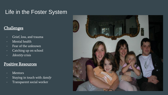## Life in the Foster System

#### Challenges

- Grief, loss, and trauma
- Mental health
- Fear of the unknown
- Catching up on school
- *Identity* crisis

#### Positive Resources

- **Mentors**
- Staying in touch with family
- Transparent social worker

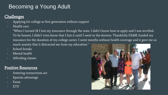## Becoming a Young Adult

#### **Challenges**

- Applying for college as first generation without support
- Health care
	- "When I turned 18 I lost my insurance through the state. I didn't know how to apply and I was terrified. To be honest, I didn't even know that I lost it until I went to the doctors. Thankfully FAME funded my insurance for the duration of my college career. I went months without health coverage and it gave me so much anxiety that it distracted me from my education."
- School breaks
- Mental health
- Affording classes

#### Positive Resources

- fostering connections act
- Spartan advantage
- Fame
- **ETV**